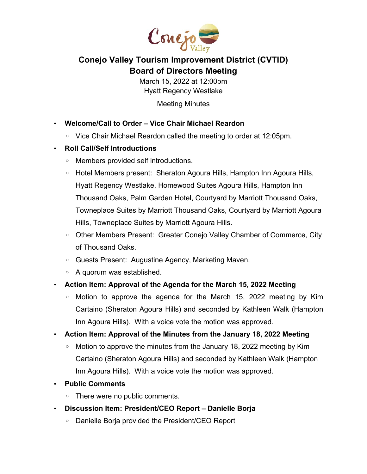

## **Conejo Valley Tourism Improvement District (CVTID) Board of Directors Meeting**

March 15, 2022 at 12:00pm Hyatt Regency Westlake

**Meeting Minutes** 

- **Welcome/Call to Order Vice Chair Michael Reardon**
	- Vice Chair Michael Reardon called the meeting to order at 12:05pm.
- **Roll Call/Self Introductions**
	- Members provided self introductions.
	- Hotel Members present: Sheraton Agoura Hills, Hampton Inn Agoura Hills, Hyatt Regency Westlake, Homewood Suites Agoura Hills, Hampton Inn Thousand Oaks, Palm Garden Hotel, Courtyard by Marriott Thousand Oaks, Towneplace Suites by Marriott Thousand Oaks, Courtyard by Marriott Agoura Hills, Towneplace Suites by Marriott Agoura Hills.
	- Other Members Present: Greater Conejo Valley Chamber of Commerce, City of Thousand Oaks.
	- Guests Present: Augustine Agency, Marketing Maven.
	- A quorum was established.
- **Action Item: Approval of the Agenda for the March 15, 2022 Meeting**
	- Motion to approve the agenda for the March 15, 2022 meeting by Kim Cartaino (Sheraton Agoura Hills) and seconded by Kathleen Walk (Hampton Inn Agoura Hills). With a voice vote the motion was approved.
- **Action Item: Approval of the Minutes from the January 18, 2022 Meeting**
	- Motion to approve the minutes from the January 18, 2022 meeting by Kim Cartaino (Sheraton Agoura Hills) and seconded by Kathleen Walk (Hampton Inn Agoura Hills). With a voice vote the motion was approved.
- **Public Comments**
	- There were no public comments.
- **Discussion Item: President/CEO Report Danielle Borja**
	- Danielle Borja provided the President/CEO Report